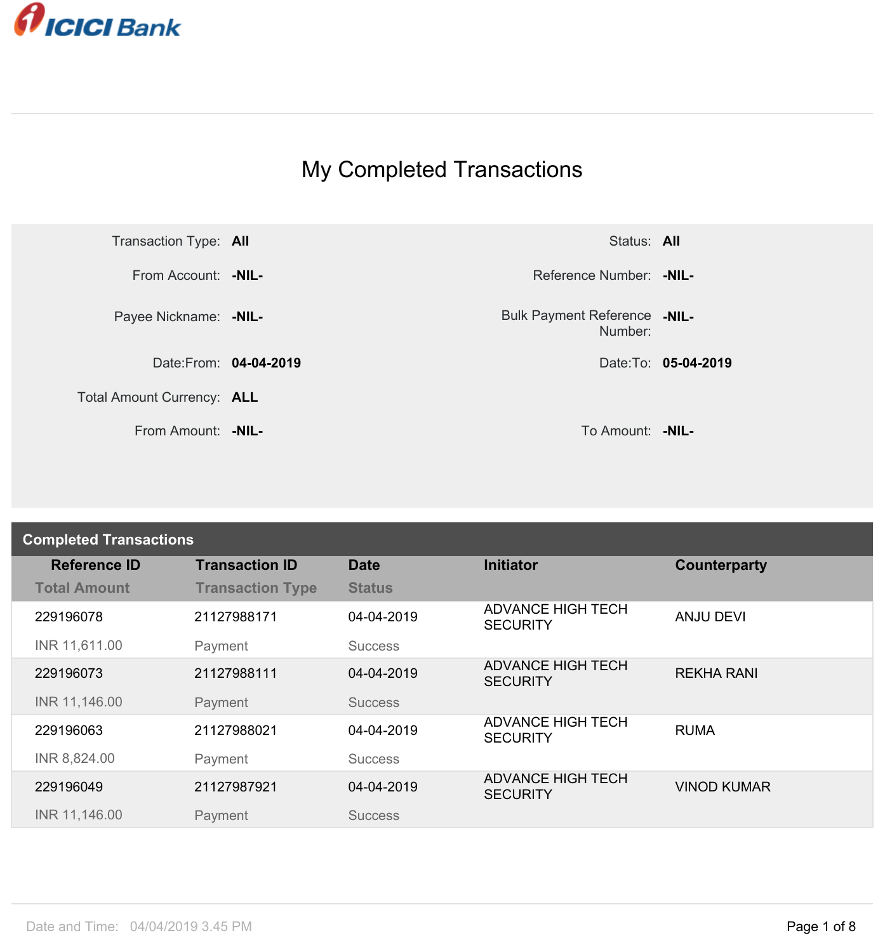

## My Completed Transactions



Number: **-NIL-**

| <b>Completed Transactions</b> |                         |                |                                             |                    |  |
|-------------------------------|-------------------------|----------------|---------------------------------------------|--------------------|--|
| <b>Reference ID</b>           | <b>Transaction ID</b>   | <b>Date</b>    | <b>Initiator</b>                            | Counterparty       |  |
| <b>Total Amount</b>           | <b>Transaction Type</b> | <b>Status</b>  |                                             |                    |  |
| 229196078                     | 21127988171             | 04-04-2019     | <b>ADVANCE HIGH TECH</b><br><b>SECURITY</b> | <b>ANJU DEVI</b>   |  |
| INR 11,611.00                 | Payment                 | <b>Success</b> |                                             |                    |  |
| 229196073                     | 21127988111             | 04-04-2019     | <b>ADVANCE HIGH TECH</b><br><b>SECURITY</b> | <b>REKHA RANI</b>  |  |
| INR 11,146.00                 | Payment                 | <b>Success</b> |                                             |                    |  |
| 229196063                     | 21127988021             | 04-04-2019     | <b>ADVANCE HIGH TECH</b><br><b>SECURITY</b> | <b>RUMA</b>        |  |
| INR 8,824.00                  | Payment                 | <b>Success</b> |                                             |                    |  |
| 229196049                     | 21127987921             | 04-04-2019     | <b>ADVANCE HIGH TECH</b><br><b>SECURITY</b> | <b>VINOD KUMAR</b> |  |
| INR 11,146.00                 | Payment                 | <b>Success</b> |                                             |                    |  |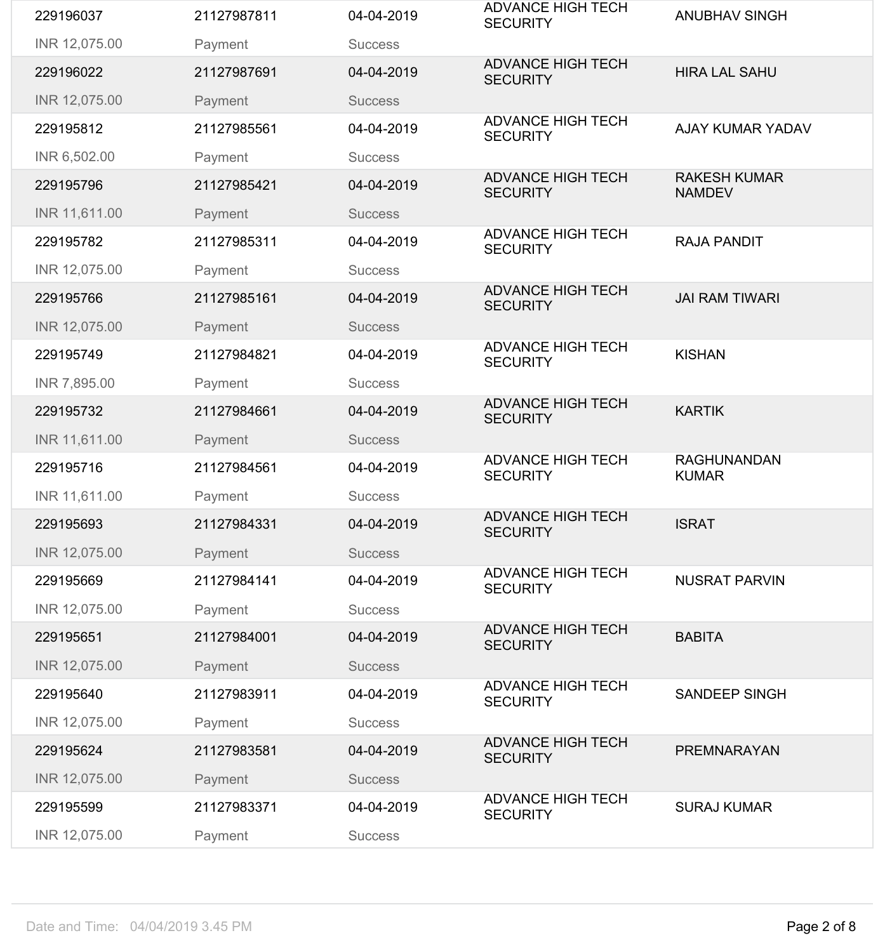| 229196037     | 21127987811 | 04-04-2019     | <b>ADVANCE HIGH TECH</b><br><b>SECURITY</b> | <b>ANUBHAV SINGH</b>                 |
|---------------|-------------|----------------|---------------------------------------------|--------------------------------------|
| INR 12,075.00 | Payment     | <b>Success</b> |                                             |                                      |
| 229196022     | 21127987691 | 04-04-2019     | <b>ADVANCE HIGH TECH</b><br><b>SECURITY</b> | <b>HIRA LAL SAHU</b>                 |
| INR 12,075.00 | Payment     | <b>Success</b> |                                             |                                      |
| 229195812     | 21127985561 | 04-04-2019     | <b>ADVANCE HIGH TECH</b><br><b>SECURITY</b> | <b>AJAY KUMAR YADAV</b>              |
| INR 6,502.00  | Payment     | <b>Success</b> |                                             |                                      |
| 229195796     | 21127985421 | 04-04-2019     | <b>ADVANCE HIGH TECH</b><br><b>SECURITY</b> | <b>RAKESH KUMAR</b><br><b>NAMDEV</b> |
| INR 11,611.00 | Payment     | <b>Success</b> |                                             |                                      |
| 229195782     | 21127985311 | 04-04-2019     | <b>ADVANCE HIGH TECH</b><br><b>SECURITY</b> | <b>RAJA PANDIT</b>                   |
| INR 12,075.00 | Payment     | <b>Success</b> |                                             |                                      |
| 229195766     | 21127985161 | 04-04-2019     | <b>ADVANCE HIGH TECH</b><br><b>SECURITY</b> | <b>JAI RAM TIWARI</b>                |
| INR 12,075.00 | Payment     | <b>Success</b> |                                             |                                      |
| 229195749     | 21127984821 | 04-04-2019     | <b>ADVANCE HIGH TECH</b><br><b>SECURITY</b> | <b>KISHAN</b>                        |
| INR 7,895.00  | Payment     | <b>Success</b> |                                             |                                      |
| 229195732     | 21127984661 | 04-04-2019     | <b>ADVANCE HIGH TECH</b><br><b>SECURITY</b> | <b>KARTIK</b>                        |
| INR 11,611.00 | Payment     | <b>Success</b> |                                             |                                      |
|               |             |                |                                             |                                      |
| 229195716     | 21127984561 | 04-04-2019     | <b>ADVANCE HIGH TECH</b><br><b>SECURITY</b> | <b>RAGHUNANDAN</b><br><b>KUMAR</b>   |
| INR 11,611.00 | Payment     | <b>Success</b> |                                             |                                      |
| 229195693     | 21127984331 | 04-04-2019     | <b>ADVANCE HIGH TECH</b><br><b>SECURITY</b> | <b>ISRAT</b>                         |
| INR 12,075.00 | Payment     | <b>Success</b> |                                             |                                      |
| 229195669     | 21127984141 | 04-04-2019     | <b>ADVANCE HIGH TECH</b><br><b>SECURITY</b> | <b>NUSRAT PARVIN</b>                 |
| INR 12,075.00 | Payment     | <b>Success</b> |                                             |                                      |
| 229195651     | 21127984001 | 04-04-2019     | <b>ADVANCE HIGH TECH</b><br><b>SECURITY</b> | <b>BABITA</b>                        |
| INR 12,075.00 | Payment     | <b>Success</b> |                                             |                                      |
| 229195640     | 21127983911 | 04-04-2019     | <b>ADVANCE HIGH TECH</b><br><b>SECURITY</b> | <b>SANDEEP SINGH</b>                 |
| INR 12,075.00 | Payment     | <b>Success</b> |                                             |                                      |
| 229195624     | 21127983581 | 04-04-2019     | <b>ADVANCE HIGH TECH</b><br><b>SECURITY</b> | PREMNARAYAN                          |
| INR 12,075.00 | Payment     | <b>Success</b> |                                             |                                      |
| 229195599     | 21127983371 | 04-04-2019     | <b>ADVANCE HIGH TECH</b><br><b>SECURITY</b> | <b>SURAJ KUMAR</b>                   |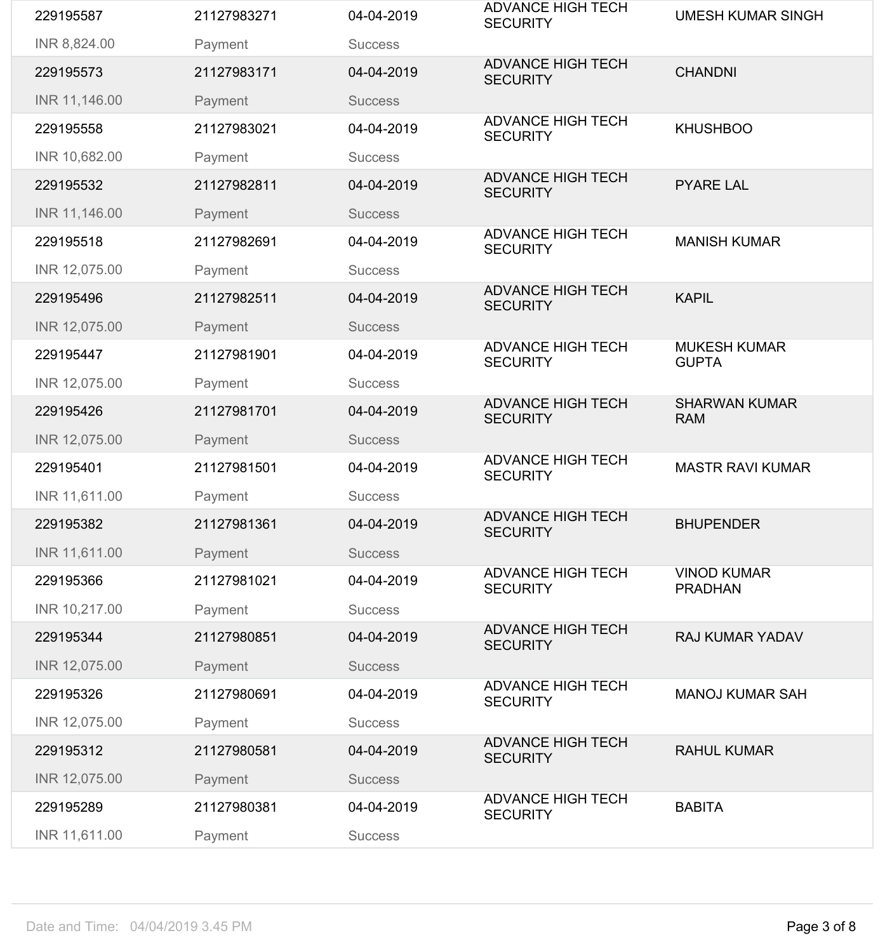| 229195587     | 21127983271 | 04-04-2019     | <b>ADVANCE HIGH TECH</b><br><b>SECURITY</b> | <b>UMESH KUMAR SINGH</b>             |
|---------------|-------------|----------------|---------------------------------------------|--------------------------------------|
| INR 8,824.00  | Payment     | <b>Success</b> |                                             |                                      |
| 229195573     | 21127983171 | 04-04-2019     | <b>ADVANCE HIGH TECH</b><br><b>SECURITY</b> | <b>CHANDNI</b>                       |
| INR 11,146.00 | Payment     | <b>Success</b> |                                             |                                      |
| 229195558     | 21127983021 | 04-04-2019     | <b>ADVANCE HIGH TECH</b><br><b>SECURITY</b> | <b>KHUSHBOO</b>                      |
| INR 10,682.00 | Payment     | <b>Success</b> |                                             |                                      |
| 229195532     | 21127982811 | 04-04-2019     | <b>ADVANCE HIGH TECH</b><br><b>SECURITY</b> | <b>PYARE LAL</b>                     |
| INR 11,146.00 | Payment     | <b>Success</b> |                                             |                                      |
| 229195518     | 21127982691 | 04-04-2019     | <b>ADVANCE HIGH TECH</b><br><b>SECURITY</b> | <b>MANISH KUMAR</b>                  |
| INR 12,075.00 | Payment     | <b>Success</b> |                                             |                                      |
| 229195496     | 21127982511 | 04-04-2019     | <b>ADVANCE HIGH TECH</b><br><b>SECURITY</b> | <b>KAPIL</b>                         |
| INR 12,075.00 | Payment     | <b>Success</b> |                                             |                                      |
| 229195447     | 21127981901 | 04-04-2019     | <b>ADVANCE HIGH TECH</b><br><b>SECURITY</b> | <b>MUKESH KUMAR</b><br><b>GUPTA</b>  |
| INR 12,075.00 | Payment     | <b>Success</b> |                                             |                                      |
| 229195426     | 21127981701 | 04-04-2019     | <b>ADVANCE HIGH TECH</b><br><b>SECURITY</b> | <b>SHARWAN KUMAR</b><br><b>RAM</b>   |
| INR 12,075.00 | Payment     | <b>Success</b> |                                             |                                      |
| 229195401     | 21127981501 | 04-04-2019     | <b>ADVANCE HIGH TECH</b><br><b>SECURITY</b> | <b>MASTR RAVI KUMAR</b>              |
| INR 11,611.00 | Payment     | <b>Success</b> |                                             |                                      |
| 229195382     | 21127981361 | 04-04-2019     | <b>ADVANCE HIGH TECH</b><br><b>SECURITY</b> | <b>BHUPENDER</b>                     |
| INR 11,611.00 | Payment     | <b>Success</b> |                                             |                                      |
| 229195366     | 21127981021 | 04-04-2019     | <b>ADVANCE HIGH TECH</b><br><b>SECURITY</b> | <b>VINOD KUMAR</b><br><b>PRADHAN</b> |
| INR 10,217.00 | Payment     | <b>Success</b> |                                             |                                      |
| 229195344     | 21127980851 | 04-04-2019     | <b>ADVANCE HIGH TECH</b><br><b>SECURITY</b> | <b>RAJ KUMAR YADAV</b>               |
| INR 12,075.00 | Payment     | <b>Success</b> |                                             |                                      |
| 229195326     | 21127980691 | 04-04-2019     | <b>ADVANCE HIGH TECH</b><br><b>SECURITY</b> | <b>MANOJ KUMAR SAH</b>               |
| INR 12,075.00 | Payment     | <b>Success</b> |                                             |                                      |
| 229195312     | 21127980581 | 04-04-2019     | <b>ADVANCE HIGH TECH</b><br><b>SECURITY</b> | <b>RAHUL KUMAR</b>                   |
| INR 12,075.00 | Payment     | <b>Success</b> |                                             |                                      |
| 229195289     | 21127980381 | 04-04-2019     | <b>ADVANCE HIGH TECH</b><br><b>SECURITY</b> | <b>BABITA</b>                        |
| INR 11,611.00 | Payment     | <b>Success</b> |                                             |                                      |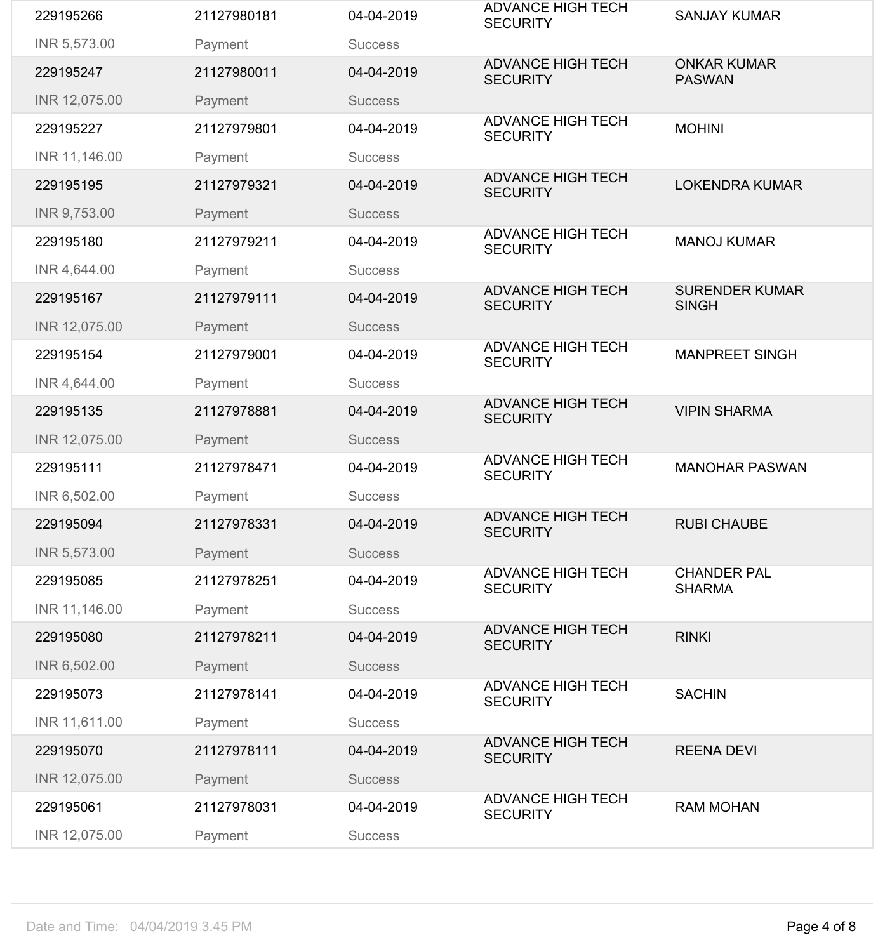| 229195266     | 21127980181 | 04-04-2019     | <b>ADVANCE HIGH TECH</b><br><b>SECURITY</b> | <b>SANJAY KUMAR</b>                   |
|---------------|-------------|----------------|---------------------------------------------|---------------------------------------|
| INR 5,573.00  | Payment     | <b>Success</b> |                                             |                                       |
| 229195247     | 21127980011 | 04-04-2019     | <b>ADVANCE HIGH TECH</b><br><b>SECURITY</b> | <b>ONKAR KUMAR</b><br><b>PASWAN</b>   |
| INR 12,075.00 | Payment     | <b>Success</b> |                                             |                                       |
| 229195227     | 21127979801 | 04-04-2019     | <b>ADVANCE HIGH TECH</b><br><b>SECURITY</b> | <b>MOHINI</b>                         |
| INR 11,146.00 | Payment     | <b>Success</b> |                                             |                                       |
| 229195195     | 21127979321 | 04-04-2019     | <b>ADVANCE HIGH TECH</b><br><b>SECURITY</b> | <b>LOKENDRA KUMAR</b>                 |
| INR 9,753.00  | Payment     | <b>Success</b> |                                             |                                       |
| 229195180     | 21127979211 | 04-04-2019     | <b>ADVANCE HIGH TECH</b><br><b>SECURITY</b> | <b>MANOJ KUMAR</b>                    |
| INR 4,644.00  | Payment     | <b>Success</b> |                                             |                                       |
| 229195167     | 21127979111 | 04-04-2019     | <b>ADVANCE HIGH TECH</b><br><b>SECURITY</b> | <b>SURENDER KUMAR</b><br><b>SINGH</b> |
| INR 12,075.00 | Payment     | <b>Success</b> |                                             |                                       |
| 229195154     | 21127979001 | 04-04-2019     | <b>ADVANCE HIGH TECH</b><br><b>SECURITY</b> | <b>MANPREET SINGH</b>                 |
| INR 4,644.00  | Payment     | <b>Success</b> |                                             |                                       |
| 229195135     | 21127978881 | 04-04-2019     | <b>ADVANCE HIGH TECH</b><br><b>SECURITY</b> | <b>VIPIN SHARMA</b>                   |
| INR 12,075.00 | Payment     | <b>Success</b> |                                             |                                       |
| 229195111     | 21127978471 | 04-04-2019     | <b>ADVANCE HIGH TECH</b><br><b>SECURITY</b> | <b>MANOHAR PASWAN</b>                 |
| INR 6,502.00  | Payment     | <b>Success</b> |                                             |                                       |
| 229195094     | 21127978331 | 04-04-2019     | <b>ADVANCE HIGH TECH</b><br><b>SECURITY</b> | <b>RUBI CHAUBE</b>                    |
| INR 5,573.00  | Payment     | <b>Success</b> |                                             |                                       |
| 229195085     | 21127978251 | 04-04-2019     | <b>ADVANCE HIGH TECH</b><br><b>SECURITY</b> | <b>CHANDER PAL</b><br><b>SHARMA</b>   |
| INR 11,146.00 | Payment     | <b>Success</b> |                                             |                                       |
| 229195080     | 21127978211 | 04-04-2019     | <b>ADVANCE HIGH TECH</b><br><b>SECURITY</b> | <b>RINKI</b>                          |
| INR 6,502.00  | Payment     | <b>Success</b> |                                             |                                       |
| 229195073     | 21127978141 | 04-04-2019     | <b>ADVANCE HIGH TECH</b><br><b>SECURITY</b> | <b>SACHIN</b>                         |
| INR 11,611.00 | Payment     | <b>Success</b> |                                             |                                       |
| 229195070     | 21127978111 | 04-04-2019     | <b>ADVANCE HIGH TECH</b><br><b>SECURITY</b> | <b>REENA DEVI</b>                     |
| INR 12,075.00 | Payment     | <b>Success</b> |                                             |                                       |
| 229195061     | 21127978031 | 04-04-2019     | <b>ADVANCE HIGH TECH</b><br><b>SECURITY</b> | <b>RAM MOHAN</b>                      |
| INR 12,075.00 | Payment     | <b>Success</b> |                                             |                                       |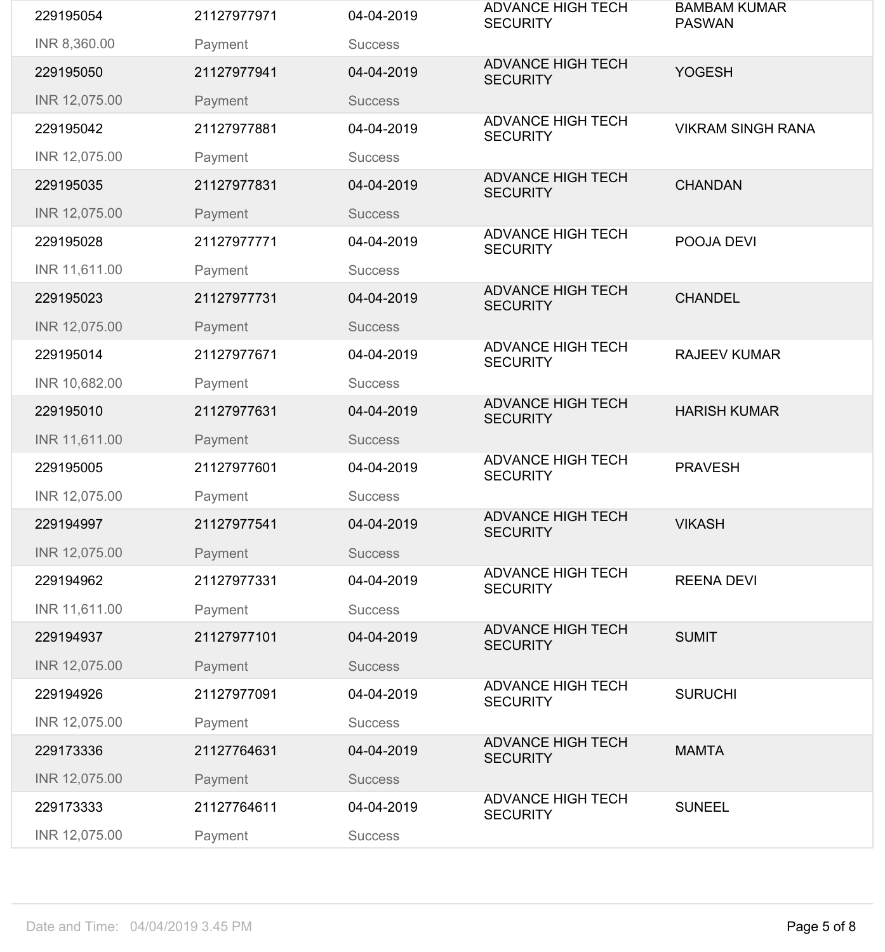| 229195054     | 21127977971 | 04-04-2019     | <b>ADVANCE HIGH TECH</b><br><b>SECURITY</b> | <b>BAMBAM KUMAR</b><br><b>PASWAN</b> |
|---------------|-------------|----------------|---------------------------------------------|--------------------------------------|
| INR 8,360.00  | Payment     | <b>Success</b> |                                             |                                      |
| 229195050     | 21127977941 | 04-04-2019     | <b>ADVANCE HIGH TECH</b><br><b>SECURITY</b> | <b>YOGESH</b>                        |
| INR 12,075.00 | Payment     | <b>Success</b> |                                             |                                      |
| 229195042     | 21127977881 | 04-04-2019     | <b>ADVANCE HIGH TECH</b><br><b>SECURITY</b> | <b>VIKRAM SINGH RANA</b>             |
| INR 12,075.00 | Payment     | <b>Success</b> |                                             |                                      |
| 229195035     | 21127977831 | 04-04-2019     | <b>ADVANCE HIGH TECH</b><br><b>SECURITY</b> | <b>CHANDAN</b>                       |
| INR 12,075.00 | Payment     | <b>Success</b> |                                             |                                      |
| 229195028     | 21127977771 | 04-04-2019     | <b>ADVANCE HIGH TECH</b><br><b>SECURITY</b> | POOJA DEVI                           |
| INR 11,611.00 | Payment     | <b>Success</b> |                                             |                                      |
| 229195023     | 21127977731 | 04-04-2019     | <b>ADVANCE HIGH TECH</b><br><b>SECURITY</b> | <b>CHANDEL</b>                       |
| INR 12,075.00 | Payment     | <b>Success</b> |                                             |                                      |
| 229195014     | 21127977671 | 04-04-2019     | <b>ADVANCE HIGH TECH</b><br><b>SECURITY</b> | <b>RAJEEV KUMAR</b>                  |
| INR 10,682.00 | Payment     | <b>Success</b> |                                             |                                      |
| 229195010     | 21127977631 | 04-04-2019     | <b>ADVANCE HIGH TECH</b><br><b>SECURITY</b> | <b>HARISH KUMAR</b>                  |
| INR 11,611.00 | Payment     | <b>Success</b> |                                             |                                      |
| 229195005     | 21127977601 | 04-04-2019     | <b>ADVANCE HIGH TECH</b><br><b>SECURITY</b> | <b>PRAVESH</b>                       |
| INR 12,075.00 | Payment     | <b>Success</b> |                                             |                                      |
| 229194997     | 21127977541 | 04-04-2019     | <b>ADVANCE HIGH TECH</b><br><b>SECURITY</b> | <b>VIKASH</b>                        |
| INR 12,075.00 | Payment     | <b>Success</b> |                                             |                                      |
| 229194962     | 21127977331 | 04-04-2019     | <b>ADVANCE HIGH TECH</b><br><b>SECURITY</b> | <b>REENA DEVI</b>                    |
| INR 11,611.00 | Payment     | <b>Success</b> |                                             |                                      |
| 229194937     | 21127977101 | 04-04-2019     | <b>ADVANCE HIGH TECH</b><br><b>SECURITY</b> | <b>SUMIT</b>                         |
| INR 12,075.00 | Payment     | <b>Success</b> |                                             |                                      |
| 229194926     | 21127977091 | 04-04-2019     | <b>ADVANCE HIGH TECH</b><br><b>SECURITY</b> | <b>SURUCHI</b>                       |
| INR 12,075.00 | Payment     | <b>Success</b> |                                             |                                      |
| 229173336     | 21127764631 | 04-04-2019     | <b>ADVANCE HIGH TECH</b><br><b>SECURITY</b> | <b>MAMTA</b>                         |
| INR 12,075.00 | Payment     | <b>Success</b> |                                             |                                      |
| 229173333     | 21127764611 | 04-04-2019     | <b>ADVANCE HIGH TECH</b><br><b>SECURITY</b> | <b>SUNEEL</b>                        |
| INR 12,075.00 | Payment     | <b>Success</b> |                                             |                                      |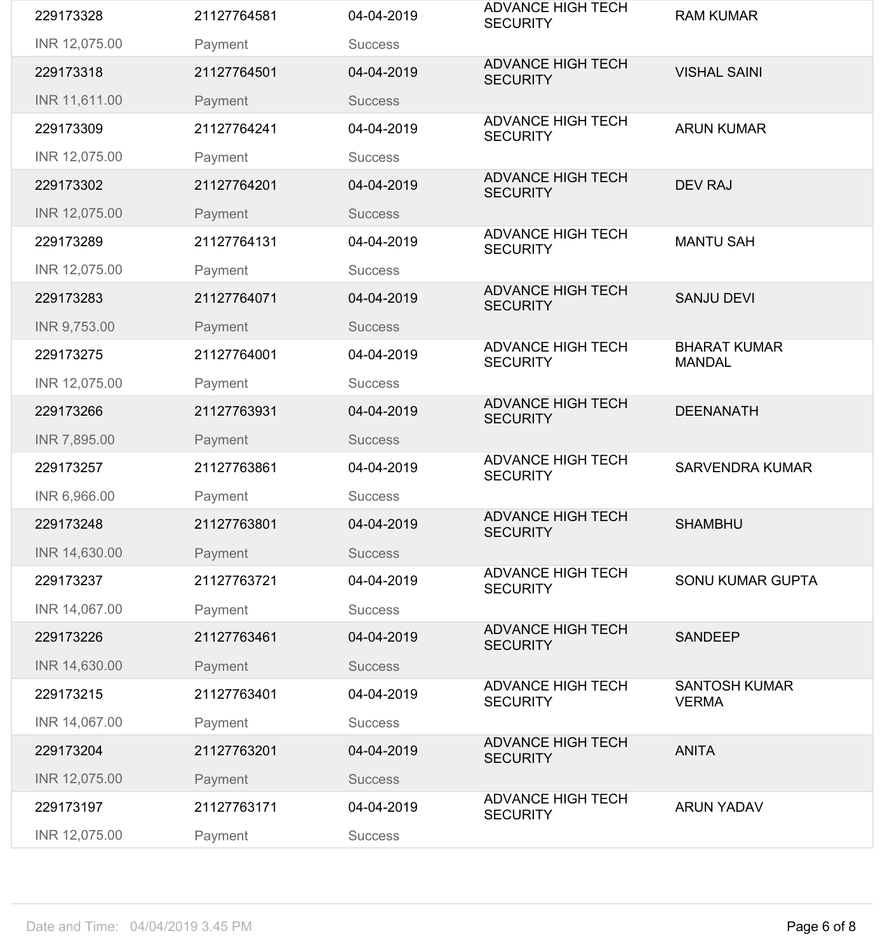| 229173275<br>INR 12,075.00<br>229173266<br>INR 7,895.00<br>229173257<br>INR 6,966.00<br>229173248 | Payment<br>21127763931<br>Payment<br>21127763861<br>Payment<br>21127763801 | <b>Success</b><br>04-04-2019<br><b>Success</b><br>04-04-2019<br><b>Success</b><br>04-04-2019 | <b>ADVANCE HIGH TECH</b><br><b>SECURITY</b><br><b>ADVANCE HIGH TECH</b><br><b>SECURITY</b><br><b>ADVANCE HIGH TECH</b><br><b>SECURITY</b> | <b>DEENANATH</b><br><b>SARVENDRA KUMAR</b><br><b>SHAMBHU</b> |
|---------------------------------------------------------------------------------------------------|----------------------------------------------------------------------------|----------------------------------------------------------------------------------------------|-------------------------------------------------------------------------------------------------------------------------------------------|--------------------------------------------------------------|
|                                                                                                   |                                                                            |                                                                                              |                                                                                                                                           |                                                              |
|                                                                                                   |                                                                            |                                                                                              |                                                                                                                                           |                                                              |
|                                                                                                   |                                                                            |                                                                                              |                                                                                                                                           |                                                              |
|                                                                                                   |                                                                            |                                                                                              |                                                                                                                                           |                                                              |
|                                                                                                   |                                                                            |                                                                                              |                                                                                                                                           |                                                              |
|                                                                                                   |                                                                            |                                                                                              |                                                                                                                                           | <b>MANDAL</b>                                                |
|                                                                                                   | 21127764001                                                                | 04-04-2019                                                                                   | <b>ADVANCE HIGH TECH</b><br><b>SECURITY</b>                                                                                               | <b>BHARAT KUMAR</b>                                          |
| INR 9,753.00                                                                                      | Payment                                                                    | <b>Success</b>                                                                               |                                                                                                                                           |                                                              |
| 229173283                                                                                         | 21127764071                                                                | 04-04-2019                                                                                   | <b>ADVANCE HIGH TECH</b><br><b>SECURITY</b>                                                                                               | <b>SANJU DEVI</b>                                            |
| INR 12,075.00                                                                                     | Payment                                                                    | <b>Success</b>                                                                               |                                                                                                                                           |                                                              |
| 229173289                                                                                         | 21127764131                                                                | 04-04-2019                                                                                   | <b>ADVANCE HIGH TECH</b><br><b>SECURITY</b>                                                                                               | <b>MANTU SAH</b>                                             |
| INR 12,075.00                                                                                     | Payment                                                                    | <b>Success</b>                                                                               |                                                                                                                                           |                                                              |
| 229173302                                                                                         | 21127764201                                                                | 04-04-2019                                                                                   | <b>ADVANCE HIGH TECH</b><br><b>SECURITY</b>                                                                                               | <b>DEV RAJ</b>                                               |
| INR 12,075.00                                                                                     | Payment                                                                    | <b>Success</b>                                                                               |                                                                                                                                           |                                                              |
| 229173309                                                                                         | 21127764241                                                                | 04-04-2019                                                                                   | <b>ADVANCE HIGH TECH</b><br><b>SECURITY</b>                                                                                               | <b>ARUN KUMAR</b>                                            |
| INR 11,611.00                                                                                     | Payment                                                                    | <b>Success</b>                                                                               |                                                                                                                                           |                                                              |
| 229173318                                                                                         | 21127764501                                                                | 04-04-2019                                                                                   | <b>SECURITY</b>                                                                                                                           | <b>VISHAL SAINI</b>                                          |
| INR 12,075.00                                                                                     | Payment                                                                    | <b>Success</b>                                                                               | <b>ADVANCE HIGH TECH</b>                                                                                                                  |                                                              |
|                                                                                                   | 21127764581                                                                | 04-04-2019                                                                                   | <b>ADVANCE HIGH TECH</b><br><b>SECURITY</b>                                                                                               | <b>RAM KUMAR</b>                                             |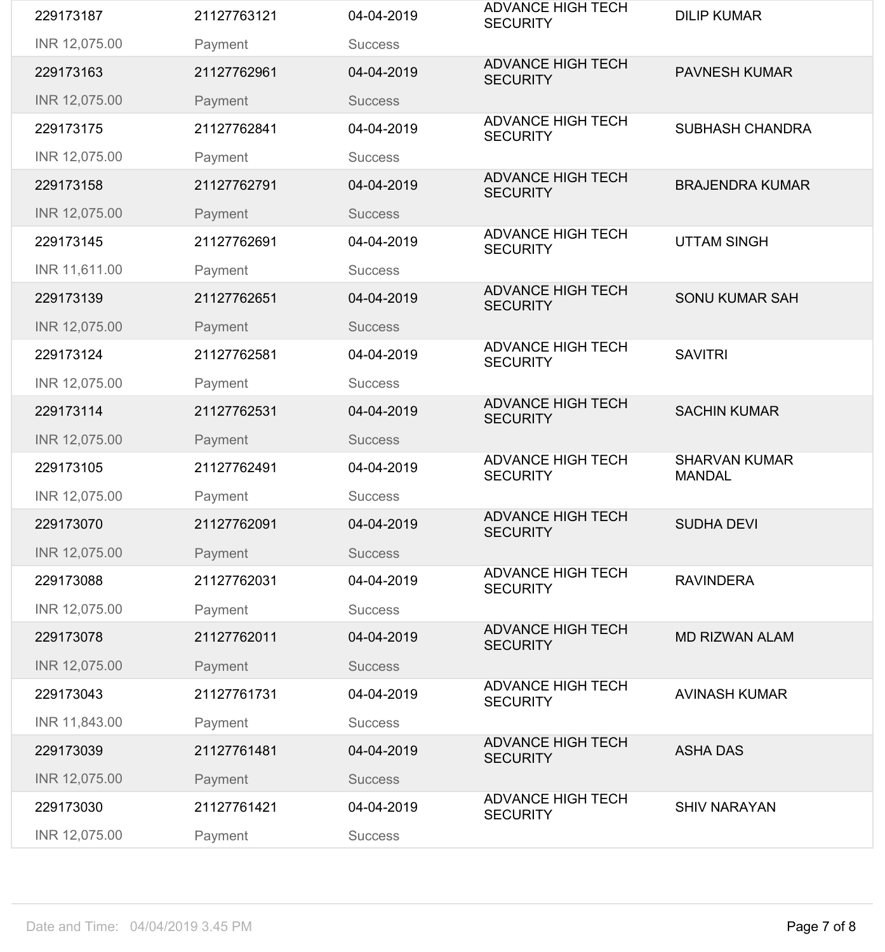| 229173187     | 21127763121 | 04-04-2019     | <b>ADVANCE HIGH TECH</b><br><b>SECURITY</b> | <b>DILIP KUMAR</b>                    |
|---------------|-------------|----------------|---------------------------------------------|---------------------------------------|
| INR 12,075.00 | Payment     | <b>Success</b> |                                             |                                       |
| 229173163     | 21127762961 | 04-04-2019     | <b>ADVANCE HIGH TECH</b><br><b>SECURITY</b> | <b>PAVNESH KUMAR</b>                  |
| INR 12,075.00 | Payment     | <b>Success</b> |                                             |                                       |
| 229173175     | 21127762841 | 04-04-2019     | <b>ADVANCE HIGH TECH</b><br><b>SECURITY</b> | <b>SUBHASH CHANDRA</b>                |
| INR 12,075.00 | Payment     | <b>Success</b> |                                             |                                       |
| 229173158     | 21127762791 | 04-04-2019     | <b>ADVANCE HIGH TECH</b><br><b>SECURITY</b> | <b>BRAJENDRA KUMAR</b>                |
| INR 12,075.00 | Payment     | <b>Success</b> |                                             |                                       |
| 229173145     | 21127762691 | 04-04-2019     | <b>ADVANCE HIGH TECH</b><br><b>SECURITY</b> | <b>UTTAM SINGH</b>                    |
| INR 11,611.00 | Payment     | <b>Success</b> |                                             |                                       |
| 229173139     | 21127762651 | 04-04-2019     | <b>ADVANCE HIGH TECH</b><br><b>SECURITY</b> | <b>SONU KUMAR SAH</b>                 |
| INR 12,075.00 | Payment     | <b>Success</b> |                                             |                                       |
| 229173124     | 21127762581 | 04-04-2019     | <b>ADVANCE HIGH TECH</b><br><b>SECURITY</b> | <b>SAVITRI</b>                        |
| INR 12,075.00 | Payment     | <b>Success</b> |                                             |                                       |
| 229173114     | 21127762531 | 04-04-2019     | <b>ADVANCE HIGH TECH</b><br><b>SECURITY</b> | <b>SACHIN KUMAR</b>                   |
| INR 12,075.00 | Payment     | <b>Success</b> |                                             |                                       |
|               |             |                |                                             |                                       |
| 229173105     | 21127762491 | 04-04-2019     | <b>ADVANCE HIGH TECH</b><br><b>SECURITY</b> | <b>SHARVAN KUMAR</b><br><b>MANDAL</b> |
| INR 12,075.00 | Payment     | <b>Success</b> |                                             |                                       |
| 229173070     | 21127762091 | 04-04-2019     | <b>ADVANCE HIGH TECH</b><br><b>SECURITY</b> | <b>SUDHA DEVI</b>                     |
| INR 12,075.00 | Payment     | <b>Success</b> |                                             |                                       |
| 229173088     | 21127762031 | 04-04-2019     | <b>ADVANCE HIGH TECH</b><br><b>SECURITY</b> | <b>RAVINDERA</b>                      |
| INR 12,075.00 | Payment     | <b>Success</b> |                                             |                                       |
| 229173078     | 21127762011 | 04-04-2019     | <b>ADVANCE HIGH TECH</b><br><b>SECURITY</b> | <b>MD RIZWAN ALAM</b>                 |
| INR 12,075.00 | Payment     | <b>Success</b> |                                             |                                       |
| 229173043     | 21127761731 | 04-04-2019     | <b>ADVANCE HIGH TECH</b><br><b>SECURITY</b> | <b>AVINASH KUMAR</b>                  |
| INR 11,843.00 | Payment     | <b>Success</b> |                                             |                                       |
| 229173039     | 21127761481 | 04-04-2019     | <b>ADVANCE HIGH TECH</b><br><b>SECURITY</b> | <b>ASHA DAS</b>                       |
| INR 12,075.00 | Payment     | <b>Success</b> |                                             |                                       |
| 229173030     | 21127761421 | 04-04-2019     | <b>ADVANCE HIGH TECH</b><br><b>SECURITY</b> | <b>SHIV NARAYAN</b>                   |